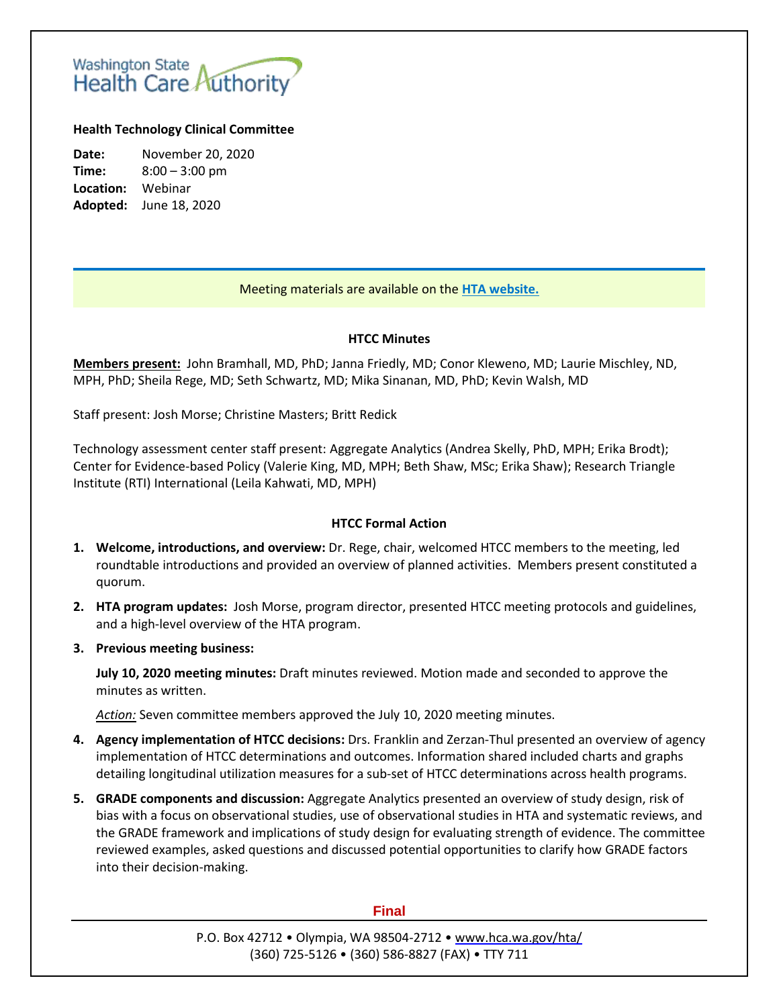# Washington State<br>Health Care Authority

### **Health Technology Clinical Committee**

**Date:** November 20, 2020 **Time:** 8:00 – 3:00 pm **Location:** Webinar **Adopted:** June 18, 2020

## Meeting materials are available on the **[HTA website.](http://www.hca.wa.gov/about-hca/health-technology-assessment/meetings-and-materials)**

#### **HTCC Minutes**

**Members present:** John Bramhall, MD, PhD; Janna Friedly, MD; Conor Kleweno, MD; Laurie Mischley, ND, MPH, PhD; Sheila Rege, MD; Seth Schwartz, MD; Mika Sinanan, MD, PhD; Kevin Walsh, MD

Staff present: Josh Morse; Christine Masters; Britt Redick

Technology assessment center staff present: Aggregate Analytics (Andrea Skelly, PhD, MPH; Erika Brodt); Center for Evidence-based Policy (Valerie King, MD, MPH; Beth Shaw, MSc; Erika Shaw); Research Triangle Institute (RTI) International (Leila Kahwati, MD, MPH)

#### **HTCC Formal Action**

- **1. Welcome, introductions, and overview:** Dr. Rege, chair, welcomed HTCC members to the meeting, led roundtable introductions and provided an overview of planned activities. Members present constituted a quorum.
- **2. HTA program updates:** Josh Morse, program director, presented HTCC meeting protocols and guidelines, and a high-level overview of the HTA program.
- **3. Previous meeting business:**

**July 10, 2020 meeting minutes:** Draft minutes reviewed. Motion made and seconded to approve the minutes as written.

*Action:* Seven committee members approved the July 10, 2020 meeting minutes.

- **4. Agency implementation of HTCC decisions:** Drs. Franklin and Zerzan-Thul presented an overview of agency implementation of HTCC determinations and outcomes. Information shared included charts and graphs detailing longitudinal utilization measures for a sub-set of HTCC determinations across health programs.
- **5. GRADE components and discussion:** Aggregate Analytics presented an overview of study design, risk of bias with a focus on observational studies, use of observational studies in HTA and systematic reviews, and the GRADE framework and implications of study design for evaluating strength of evidence. The committee reviewed examples, asked questions and discussed potential opportunities to clarify how GRADE factors into their decision-making.

#### **Final**

P.O. Box 42712 • Olympia, WA 98504-2712 • [www.hca.wa.gov/hta/](http://www.hca.wa.gov/hta/) (360) 725-5126 • (360) 586-8827 (FAX) • TTY 711